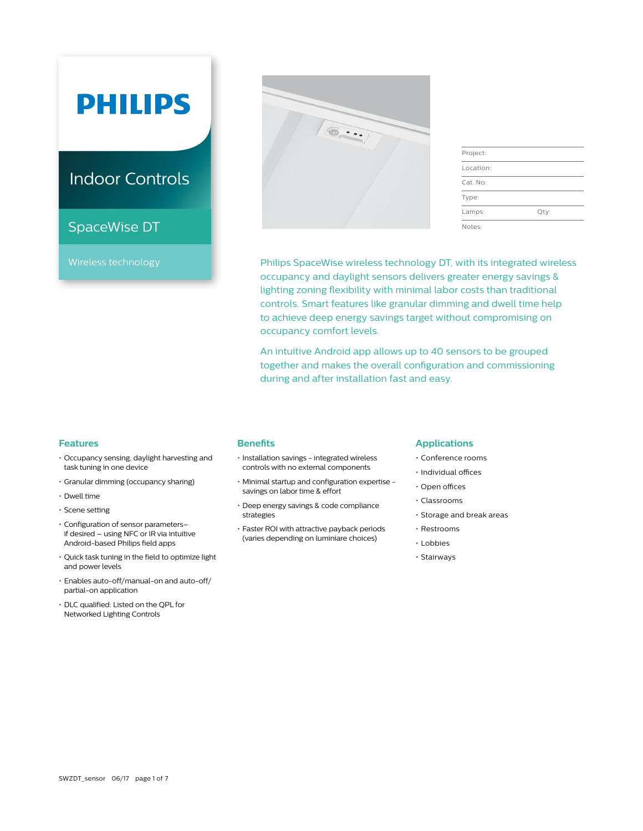# **PHILIPS**

## Indoor Controls

### SpaceWise DT

Wireless technology



| Project:  |      |
|-----------|------|
| Location: |      |
| Cat. No:  |      |
| Type:     |      |
| Lamps:    | Qty: |
| Notes:    |      |

Philips SpaceWise wireless technology DT, with its integrated wireless occupancy and daylight sensors delivers greater energy savings & lighting zoning flexibility with minimal labor costs than traditional controls. Smart features like granular dimming and dwell time help to achieve deep energy savings target without compromising on occupancy comfort levels.

An intuitive Android app allows up to 40 sensors to be grouped together and makes the overall configuration and commissioning during and after installation fast and easy.

#### **Features**

- Occupancy sensing, daylight harvesting and task tuning in one device
- Granular dimming (occupancy sharing)
- Dwell time
- Scene setting
- Configuration of sensor parameters– if desired – using NFC or IR via intuitive Android-based Philips field apps
- Quick task tuning in the field to optimize light and power levels
- Enables auto-off/manual-on and auto-off/ partial-on application
- DLC qualified: Listed on the QPL for Networked Lighting Controls

#### **Benefits**

- Installation savings integrated wireless controls with no external components
- Minimal startup and configuration expertise savings on labor time & effort
- Deep energy savings & code compliance strategies
- Faster ROI with attractive payback periods (varies depending on luminiare choices)

#### **Applications**

- Conference rooms
- Individual offices
- Open offices
- Classrooms
- Storage and break areas
- Restrooms
- Lobbies
- Stairways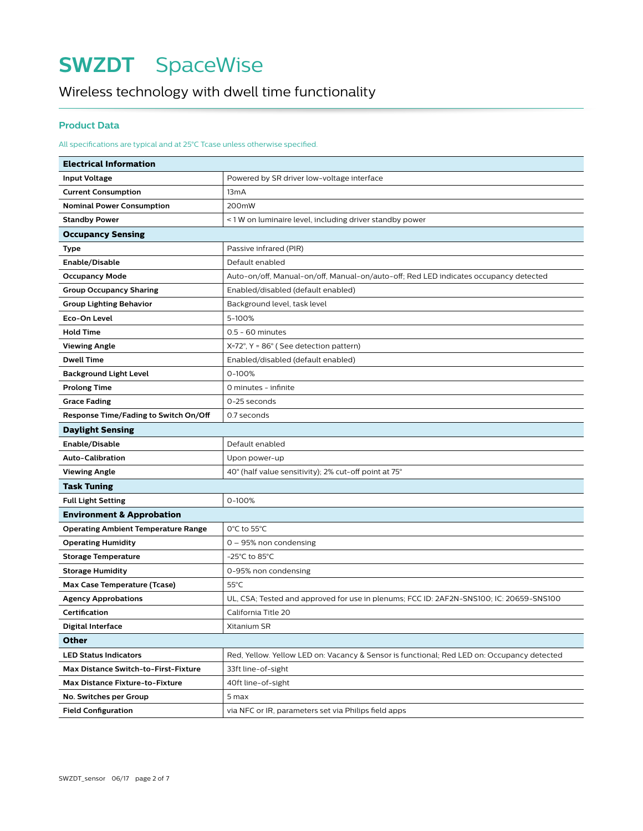### Wireless technology with dwell time functionality

#### **Product Data**

#### All specifications are typical and at 25°C Tcase unless otherwise specified.

| <b>Electrical Information</b>                        |                                                                                            |  |  |
|------------------------------------------------------|--------------------------------------------------------------------------------------------|--|--|
| <b>Input Voltage</b>                                 | Powered by SR driver low-voltage interface                                                 |  |  |
| <b>Current Consumption</b>                           | 13 <sub>m</sub> A                                                                          |  |  |
| <b>Nominal Power Consumption</b>                     | 200mW                                                                                      |  |  |
| <b>Standby Power</b>                                 | <1W on luminaire level, including driver standby power                                     |  |  |
| <b>Occupancy Sensing</b>                             |                                                                                            |  |  |
| Type                                                 | Passive infrared (PIR)                                                                     |  |  |
| Enable/Disable                                       | Default enabled                                                                            |  |  |
| <b>Occupancy Mode</b>                                | Auto-on/off, Manual-on/off, Manual-on/auto-off; Red LED indicates occupancy detected       |  |  |
| <b>Group Occupancy Sharing</b>                       | Enabled/disabled (default enabled)                                                         |  |  |
| <b>Group Lighting Behavior</b>                       | Background level, task level                                                               |  |  |
| Eco-On Level                                         | 5-100%                                                                                     |  |  |
| <b>Hold Time</b>                                     | 0.5 - 60 minutes                                                                           |  |  |
| <b>Viewing Angle</b>                                 | $X=72^\circ$ , Y = 86 $^\circ$ (See detection pattern)                                     |  |  |
| <b>Dwell Time</b>                                    | Enabled/disabled (default enabled)                                                         |  |  |
| <b>Background Light Level</b>                        | 0-100%                                                                                     |  |  |
| <b>Prolong Time</b>                                  | 0 minutes - infinite                                                                       |  |  |
| <b>Grace Fading</b>                                  | 0-25 seconds                                                                               |  |  |
| Response Time/Fading to Switch On/Off<br>0.7 seconds |                                                                                            |  |  |
| <b>Daylight Sensing</b>                              |                                                                                            |  |  |
| Enable/Disable                                       | Default enabled                                                                            |  |  |
| <b>Auto-Calibration</b>                              | Upon power-up                                                                              |  |  |
| <b>Viewing Angle</b>                                 | 40° (half value sensitivity); 2% cut-off point at 75°                                      |  |  |
| <b>Task Tuning</b>                                   |                                                                                            |  |  |
| <b>Full Light Setting</b>                            | 0-100%                                                                                     |  |  |
| <b>Environment &amp; Approbation</b>                 |                                                                                            |  |  |
| <b>Operating Ambient Temperature Range</b>           | 0°C to 55°C                                                                                |  |  |
| <b>Operating Humidity</b>                            | 0 - 95% non condensing                                                                     |  |  |
| <b>Storage Temperature</b>                           | -25°C to 85°C                                                                              |  |  |
| <b>Storage Humidity</b>                              | 0-95% non condensing                                                                       |  |  |
| <b>Max Case Temperature (Tcase)</b>                  | $55^{\circ}$ C                                                                             |  |  |
| <b>Agency Approbations</b>                           | UL, CSA; Tested and approved for use in plenums; FCC ID: 2AF2N-SNS100; IC: 20659-SNS100    |  |  |
| Certification                                        | California Title 20                                                                        |  |  |
| Digital Interface                                    | Xitanium SR                                                                                |  |  |
| Other                                                |                                                                                            |  |  |
| <b>LED Status Indicators</b>                         | Red, Yellow. Yellow LED on: Vacancy & Sensor is functional; Red LED on: Occupancy detected |  |  |
| Max Distance Switch-to-First-Fixture                 | 33ft line-of-sight                                                                         |  |  |
| <b>Max Distance Fixture-to-Fixture</b>               | 40ft line-of-sight                                                                         |  |  |
| No. Switches per Group                               | 5 max                                                                                      |  |  |
| <b>Field Configuration</b>                           | via NFC or IR, parameters set via Philips field apps                                       |  |  |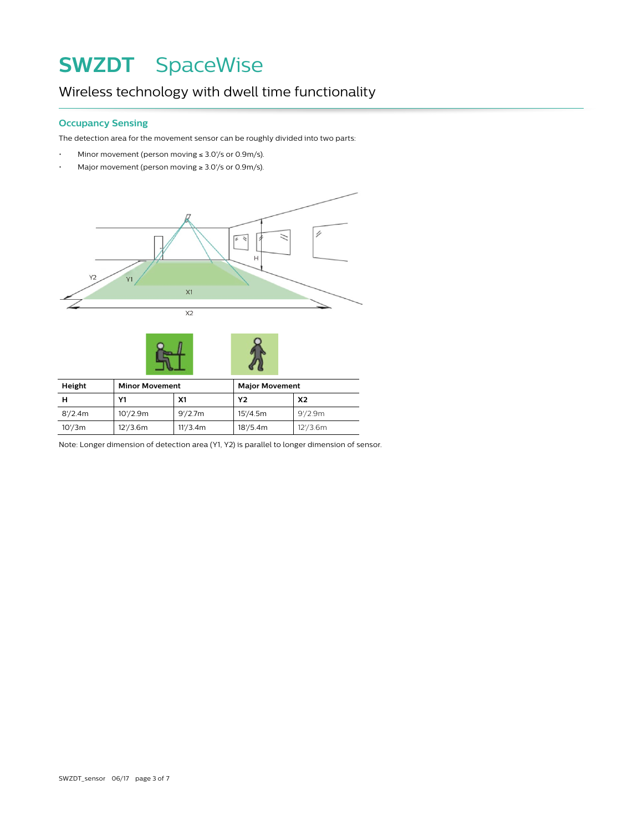### Wireless technology with dwell time functionality

#### **Occupancy Sensing**

The detection area for the movement sensor can be roughly divided into two parts:

- Minor movement (person moving ≤ 3.0'/s or 0.9m/s).
- Major movement (person moving  $\geq 3.0$ //s or 0.9m/s).





| Height  | <b>Minor Movement</b> |                | <b>Major Movement</b> |                |
|---------|-----------------------|----------------|-----------------------|----------------|
|         | Υ1                    | X <sub>1</sub> | Υ2                    | X <sub>2</sub> |
| 8'/2.4m | 10'/2.9m              | 9'/2.7m        | 15'/4.5m              | 9'/2.9m        |
| 10'/3m  | 12'/3.6m              | 11'/3.4m       | 18'/5.4m              | 12'/3.6m       |

Note: Longer dimension of detection area (Y1, Y2) is parallel to longer dimension of sensor.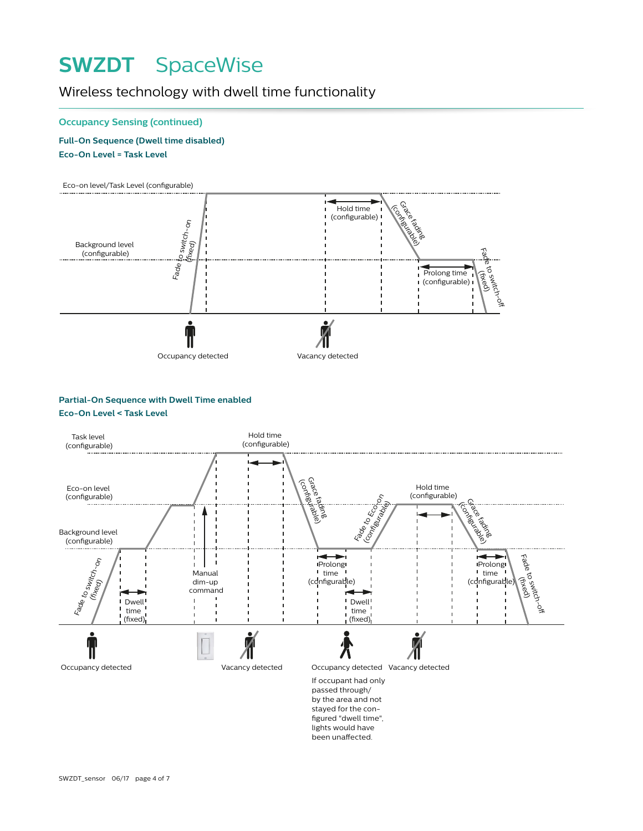### Wireless technology with dwell time functionality

#### **Occupancy Sensing (continued)**

**Full-On Sequence (Dwell time disabled) Eco-On Level = Task Level**



#### **Partial-On Sequence with Dwell Time enabled Eco-On Level < Task Level**

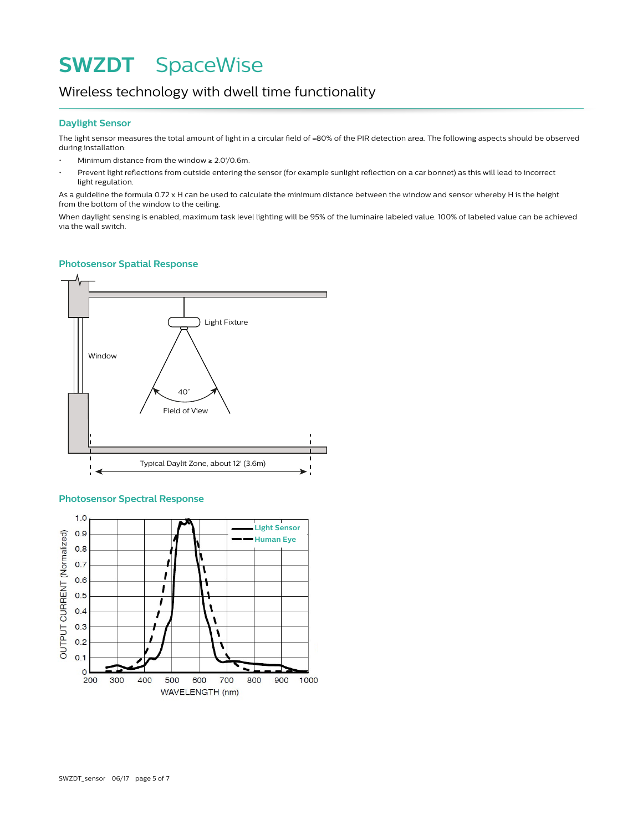### Wireless technology with dwell time functionality

#### **Daylight Sensor**

The light sensor measures the total amount of light in a circular field of ≈80% of the PIR detection area. The following aspects should be observed during installation:

- Minimum distance from the window  $\geq 2.0'/0.6$ m.
- Prevent light reflections from outside entering the sensor (for example sunlight reflection on a car bonnet) as this will lead to incorrect light regulation.

As a guideline the formula 0.72 x H can be used to calculate the minimum distance between the window and sensor whereby H is the height from the bottom of the window to the ceiling.

When daylight sensing is enabled, maximum task level lighting will be 95% of the luminaire labeled value. 100% of labeled value can be achieved via the wall switch.

#### **Photosensor Spatial Response**



#### **Photosensor Spectral Response**

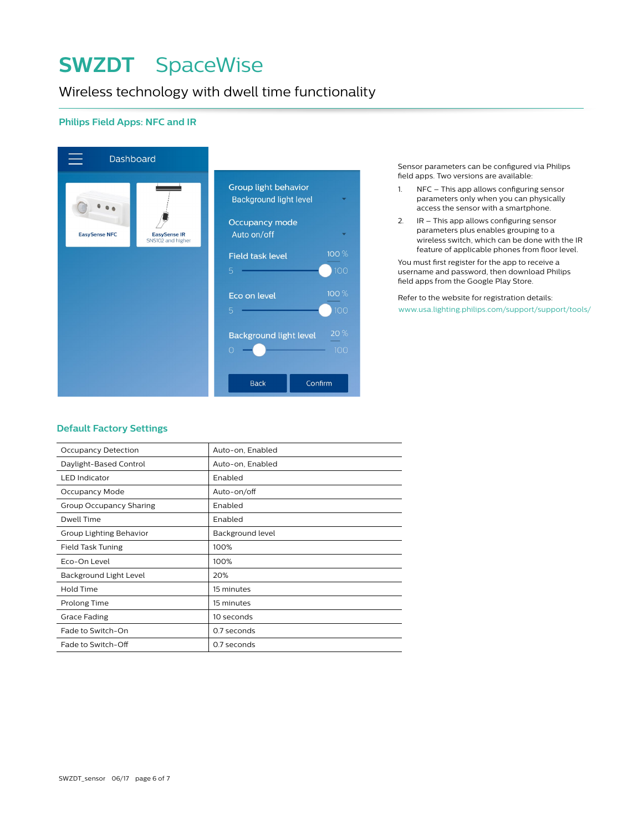### Wireless technology with dwell time functionality

#### **Philips Field Apps: NFC and IR**



Sensor parameters can be configured via Philips field apps. Two versions are available:

- 1. NFC This app allows configuring sensor parameters only when you can physically access the sensor with a smartphone.
- 2. IR This app allows configuring sensor parameters plus enables grouping to a wireless switch, which can be done with the IR feature of applicable phones from floor level.

You must first register for the app to receive a username and password, then download Philips field apps from the Google Play Store.

Refer to the website for registration details: www.usa.lighting.philips.com/support/support/tools/

#### **Default Factory Settings**

| <b>Occupancy Detection</b> | Auto-on, Enabled |
|----------------------------|------------------|
| Daylight-Based Control     | Auto-on, Enabled |
| <b>LED</b> Indicator       | Enabled          |
| Occupancy Mode             | Auto-on/off      |
| Group Occupancy Sharing    | Enabled          |
| Dwell Time                 | Enabled          |
| Group Lighting Behavior    | Background level |
| Field Task Tuning          | 100%             |
| Eco-On Level               | 100%             |
| Background Light Level     | 20%              |
| Hold Time                  | 15 minutes       |
| Prolong Time               | 15 minutes       |
| Grace Fading               | 10 seconds       |
| Fade to Switch-On          | 0.7 seconds      |
| Fade to Switch-Off         | 0.7 seconds      |
|                            |                  |